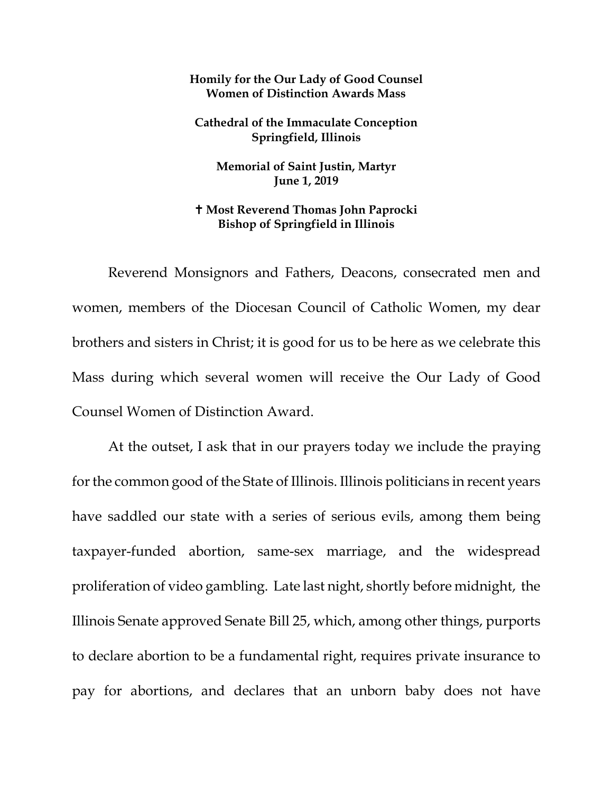## **Homily for the Our Lady of Good Counsel Women of Distinction Awards Mass**

**Cathedral of the Immaculate Conception Springfield, Illinois** 

**Memorial of Saint Justin, Martyr June 1, 2019** 

## **Most Reverend Thomas John Paprocki Bishop of Springfield in Illinois**

Reverend Monsignors and Fathers, Deacons, consecrated men and women, members of the Diocesan Council of Catholic Women, my dear brothers and sisters in Christ; it is good for us to be here as we celebrate this Mass during which several women will receive the Our Lady of Good Counsel Women of Distinction Award.

At the outset, I ask that in our prayers today we include the praying for the common good of the State of Illinois. Illinois politicians in recent years have saddled our state with a series of serious evils, among them being taxpayer-funded abortion, same-sex marriage, and the widespread proliferation of video gambling. Late last night, shortly before midnight, the Illinois Senate approved Senate Bill 25, which, among other things, purports to declare abortion to be a fundamental right, requires private insurance to pay for abortions, and declares that an unborn baby does not have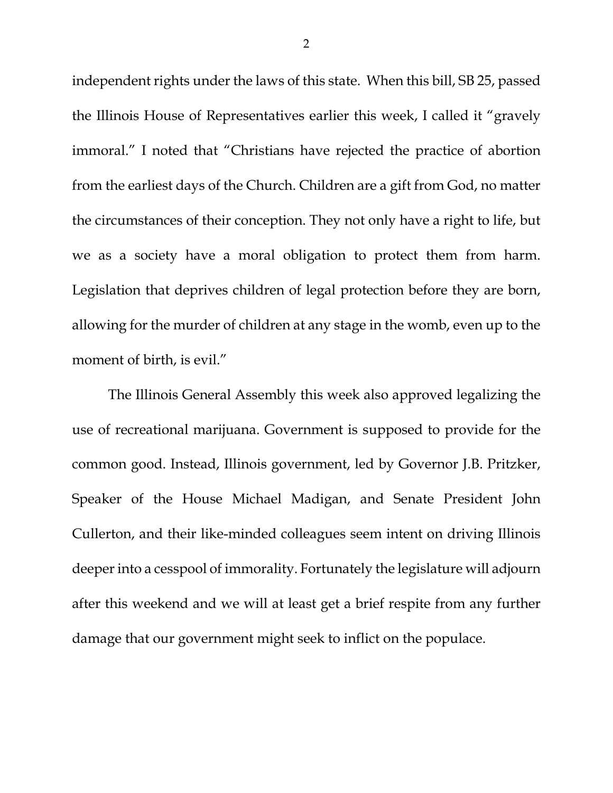independent rights under the laws of this state. When this bill, SB 25, passed the Illinois House of Representatives earlier this week, I called it "gravely immoral." I noted that "Christians have rejected the practice of abortion from the earliest days of the Church. Children are a gift from God, no matter the circumstances of their conception. They not only have a right to life, but we as a society have a moral obligation to protect them from harm. Legislation that deprives children of legal protection before they are born, allowing for the murder of children at any stage in the womb, even up to the moment of birth, is evil."

The Illinois General Assembly this week also approved legalizing the use of recreational marijuana. Government is supposed to provide for the common good. Instead, Illinois government, led by Governor J.B. Pritzker, Speaker of the House Michael Madigan, and Senate President John Cullerton, and their like-minded colleagues seem intent on driving Illinois deeper into a cesspool of immorality. Fortunately the legislature will adjourn after this weekend and we will at least get a brief respite from any further damage that our government might seek to inflict on the populace.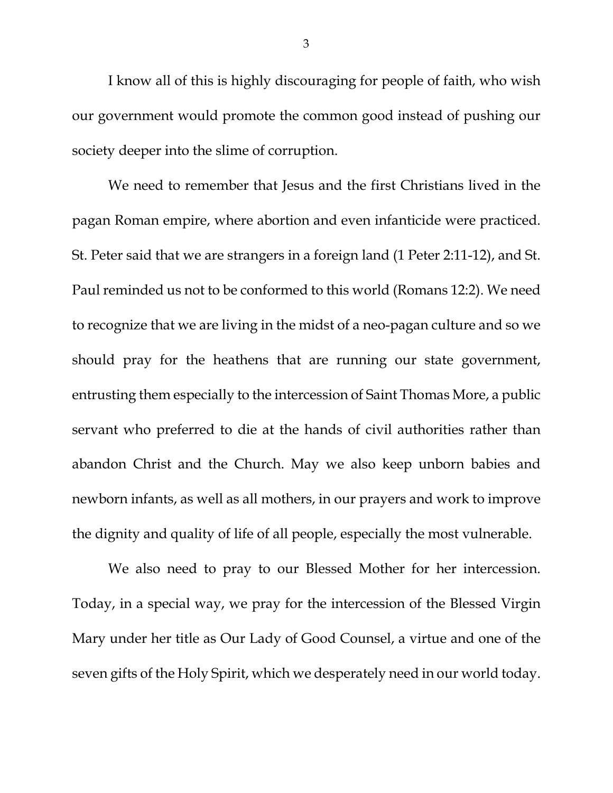<span id="page-2-0"></span>I know all of this is highly discouraging for people of faith, who wish our government would promote the common good instead of pushing our society deeper into the slime of corruption.

<span id="page-2-1"></span>We need to remember that Jesus and the first Christians lived in the pagan Roman empire, where abortion and even infanticide were practiced. St. Peter said that we are strangers in a foreign land (1 Peter 2:11-12), and St. Paul reminded us not to be conformed to this world (Romans 12:2). We need to recognize that we are living in the midst of a neo-pagan culture and so we should pray for the heathens that are running our state government, entrusting them especially to the intercession of Saint Thomas More, a public servant who preferred to die at the hands of civil authorities rather than abandon Christ and the Church. May we also keep unborn babies and newborn infants, as well as all mothers, in our prayers and work to improve the dignity and quality of life of all people, especially the most vulnerable.

We also need to pray to our Blessed Mother for her intercession. Today, in a special way, we pray for the intercession of the Blessed Virgin Mary under her title as Our Lady of Good Counsel, a virtue and one of the seven gifts of the Holy Spirit, which we desperately need in our world today.

3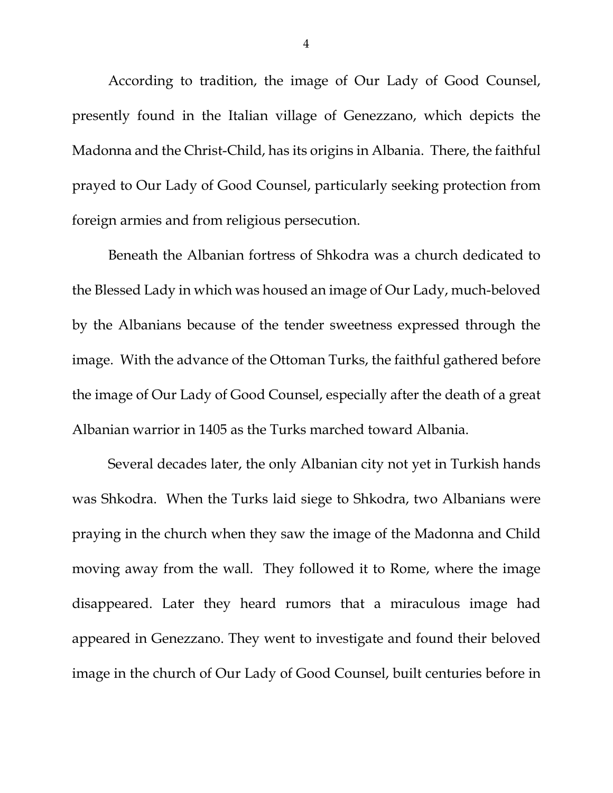According to tradition, the image of Our Lady of Good Counsel, presently found in the Italian village of Genezzano, which depicts the Madonna and the Christ-Child, has its origins in Albania. There, the faithful prayed to Our Lady of Good Counsel, particularly seeking protection from foreign armies and from religious persecution.

Beneath the Albanian fortress of Shkodra was a church dedicated to the Blessed Lady in which was housed an image of Our Lady, much-beloved by the Albanians because of the tender sweetness expressed through the image. With the advance of the Ottoman Turks, the faithful gathered before the image of Our Lady of Good Counsel, especially after the death of a great Albanian warrior in 1405 as the Turks marched toward Albania.

Several decades later, the only Albanian city not yet in Turkish hands was Shkodra. When the Turks laid siege to Shkodra, two Albanians were praying in the church when they saw the image of the Madonna and Child moving away from the wall. They followed it to Rome, where the image disappeared. Later they heard rumors that a miraculous image had appeared in Genezzano. They went to investigate and found their beloved image in the church of Our Lady of Good Counsel, built centuries before in

4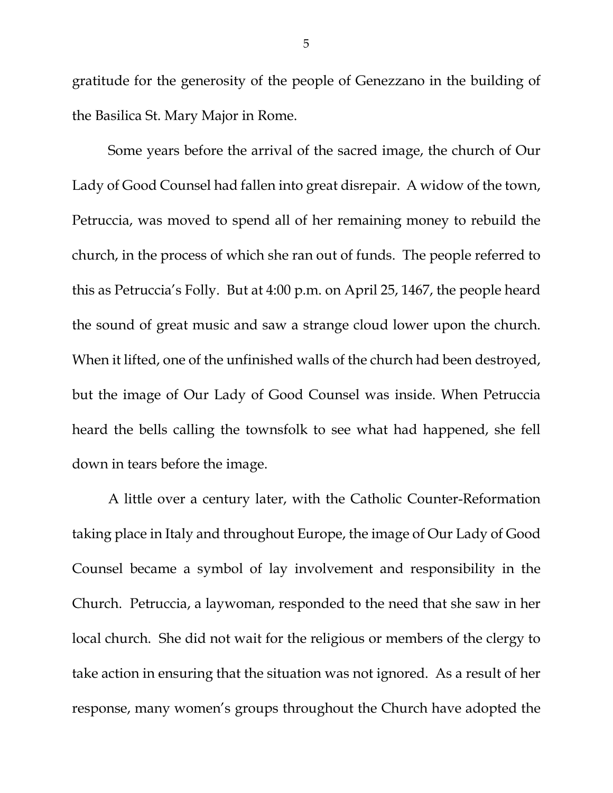gratitude for the generosity of the people of Genezzano in the building of the Basilica St. Mary Major in Rome.

Some years before the arrival of the sacred image, the church of Our Lady of Good Counsel had fallen into great disrepair. A widow of the town, Petruccia, was moved to spend all of her remaining money to rebuild the church, in the process of which she ran out of funds. The people referred to this as Petruccia's Folly. But at 4:00 p.m. on April 25, 1467, the people heard the sound of great music and saw a strange cloud lower upon the church. When it lifted, one of the unfinished walls of the church had been destroyed, but the image of Our Lady of Good Counsel was inside. When Petruccia heard the bells calling the townsfolk to see what had happened, she fell down in tears before the image.

A little over a century later, with the Catholic Counter-Reformation taking place in Italy and throughout Europe, the image of Our Lady of Good Counsel became a symbol of lay involvement and responsibility in the Church. Petruccia, a laywoman, responded to the need that she saw in her local church. She did not wait for the religious or members of the clergy to take action in ensuring that the situation was not ignored. As a result of her response, many women's groups throughout the Church have adopted the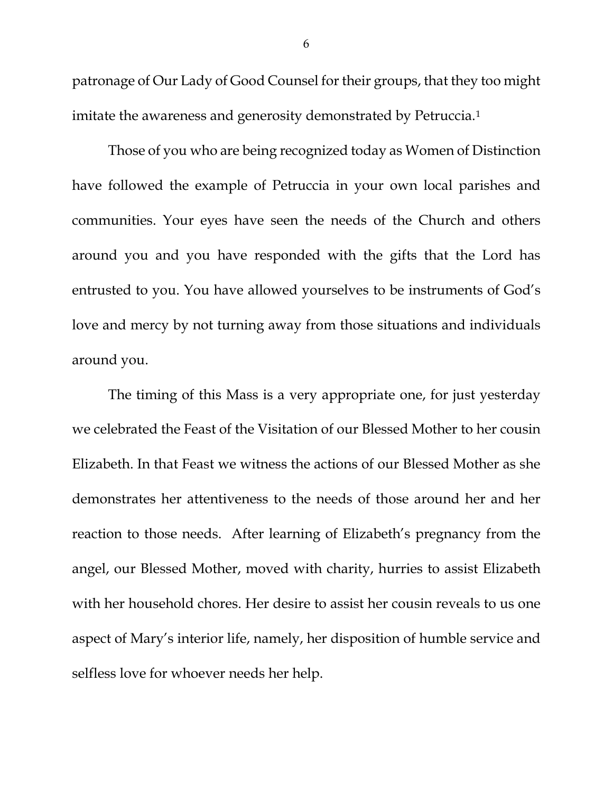patronage of Our Lady of Good Counsel for their groups, that they too might imitate the awareness and generosity demonstrated by Petruccia.<sup>[1](#page-2-0)</sup>

Those of you who are being recognized today as Women of Distinction have followed the example of Petruccia in your own local parishes and communities. Your eyes have seen the needs of the Church and others around you and you have responded with the gifts that the Lord has entrusted to you. You have allowed yourselves to be instruments of God's love and mercy by not turning away from those situations and individuals around you.

The timing of this Mass is a very appropriate one, for just yesterday we celebrated the Feast of the Visitation of our Blessed Mother to her cousin Elizabeth. In that Feast we witness the actions of our Blessed Mother as she demonstrates her attentiveness to the needs of those around her and her reaction to those needs. After learning of Elizabeth's pregnancy from the angel, our Blessed Mother, moved with charity, hurries to assist Elizabeth with her household chores. Her desire to assist her cousin reveals to us one aspect of Mary's interior life, namely, her disposition of humble service and selfless love for whoever needs her help.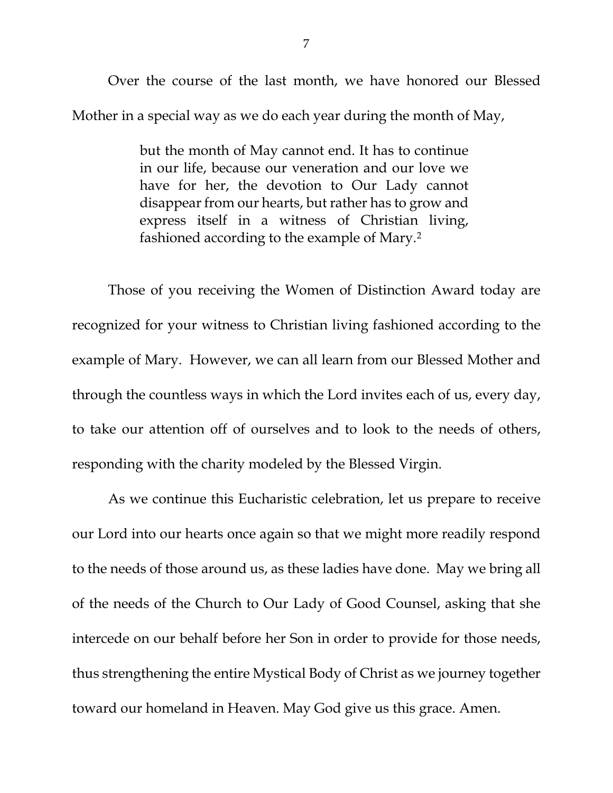Over the course of the last month, we have honored our Blessed Mother in a special way as we do each year during the month of May,

> but the month of May cannot end. It has to continue in our life, because our veneration and our love we have for her, the devotion to Our Lady cannot disappear from our hearts, but rather has to grow and express itself in a witness of Christian living, fashioned according to the example of Mary.[2](#page-2-1)

Those of you receiving the Women of Distinction Award today are recognized for your witness to Christian living fashioned according to the example of Mary. However, we can all learn from our Blessed Mother and through the countless ways in which the Lord invites each of us, every day, to take our attention off of ourselves and to look to the needs of others, responding with the charity modeled by the Blessed Virgin.

As we continue this Eucharistic celebration, let us prepare to receive our Lord into our hearts once again so that we might more readily respond to the needs of those around us, as these ladies have done. May we bring all of the needs of the Church to Our Lady of Good Counsel, asking that she intercede on our behalf before her Son in order to provide for those needs, thus strengthening the entire Mystical Body of Christ as we journey together toward our homeland in Heaven. May God give us this grace. Amen.